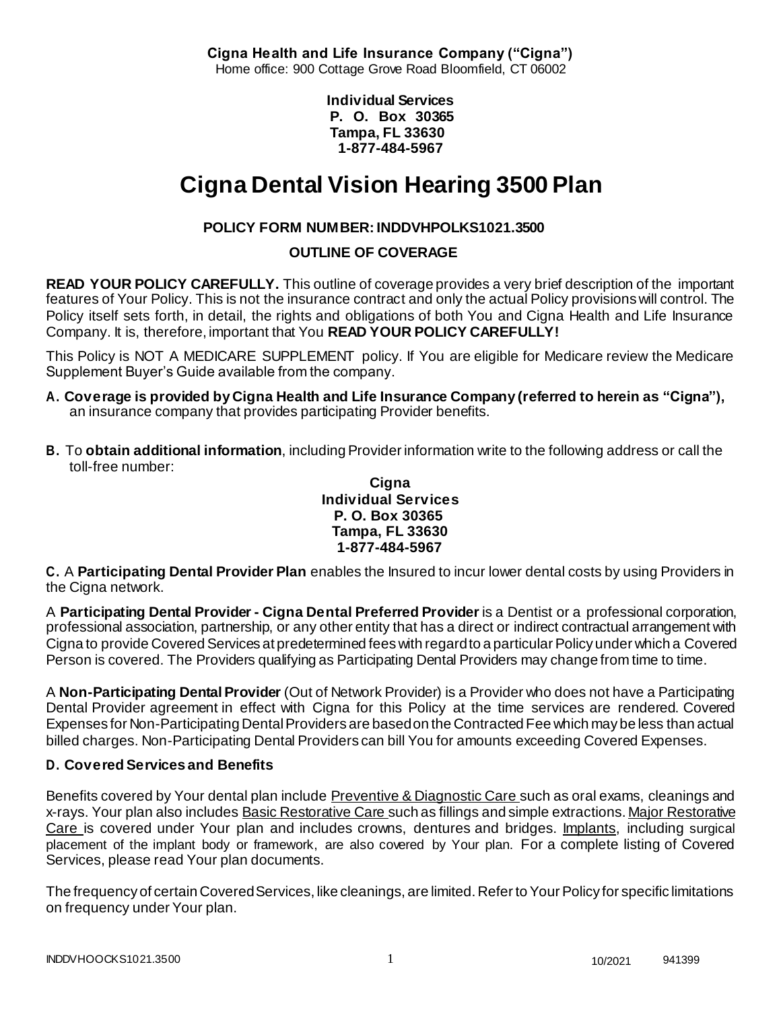**Cigna Health and Life Insurance Company ("Cigna")** Home office: 900 Cottage Grove Road Bloomfield, CT 06002

> **Individual Services P. O. Box 30365 Tampa, FL 33630 1-877-484-5967**

# **Cigna Dental Vision Hearing 3500 Plan**

# **POLICY FORM NUMBER: INDDVHPOLKS1021.3500**

# **OUTLINE OF COVERAGE**

**READ YOUR POLICY CAREFULLY.** This outline of coverage provides a very brief description of the important features of Your Policy. This is not the insurance contract and only the actual Policy provisions will control. The Policy itself sets forth, in detail, the rights and obligations of both You and Cigna Health and Life Insurance Company. It is, therefore, important that You **READ YOUR POLICY CAREFULLY!**

This Policy is NOT A MEDICARE SUPPLEMENT policy. If You are eligible for Medicare review the Medicare Supplement Buyer's Guide available from the company.

- **A. Coverage is provided by Cigna Health and Life Insurance Company (referred to herein as "Cigna"),** an insurance company that provides participating Provider benefits.
- **B.** To **obtain additional information**, including Provider information write to the following address or call the toll-free number:

#### **Cigna Individual Services P. O. Box 30365 Tampa, FL 33630 1-877-484-5967**

**C.** A **Participating Dental Provider Plan** enables the Insured to incur lower dental costs by using Providers in the Cigna network.

A **Participating Dental Provider - Cigna Dental Preferred Provider** is a Dentist or a professional corporation, professional association, partnership, or any other entity that has a direct or indirect contractual arrangement with Cigna to provide Covered Services at predetermined fees with regard to a particular Policy under which a Covered Person is covered. The Providers qualifying as Participating Dental Providers may change from time to time.

A **Non-Participating Dental Provider** (Out of Network Provider) is a Provider who does not have a Participating Dental Provider agreement in effect with Cigna for this Policy at the time services are rendered. Covered Expenses for Non-Participating Dental Providers are based on the Contracted Fee which may be less than actual billed charges. Non-Participating Dental Providers can bill You for amounts exceeding Covered Expenses.

# **D. Covered Services and Benefits**

Benefits covered by Your dental plan include Preventive & Diagnostic Care such as oral exams, cleanings and x-rays. Your plan also includes Basic Restorative Care such as fillings and simple extractions. Major Restorative Care is covered under Your plan and includes crowns, dentures and bridges. Implants, including surgical placement of the implant body or framework, are also covered by Your plan. For a complete listing of Covered Services, please read Your plan documents.

The frequency of certain Covered Services, like cleanings, are limited. Refer to Your Policy for specific limitations on frequency under Your plan.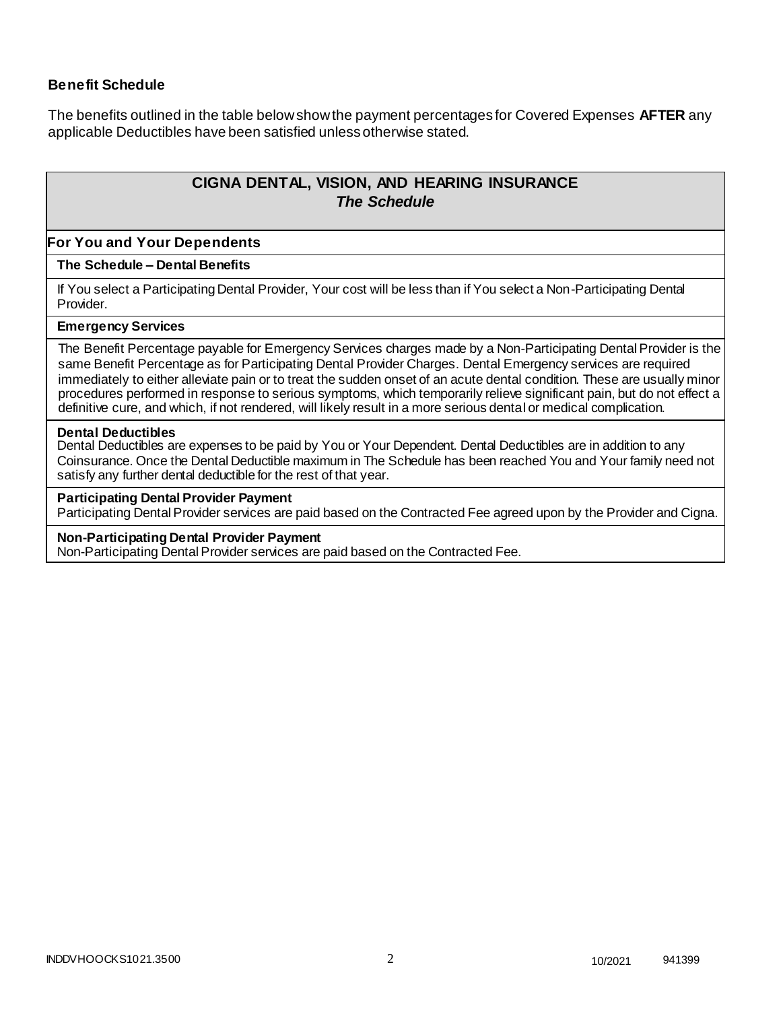## **Benefit Schedule**

The benefits outlined in the table below show the payment percentages for Covered Expenses **AFTER** any applicable Deductibles have been satisfied unless otherwise stated.

# **CIGNA DENTAL, VISION, AND HEARING INSURANCE** *The Schedule*

#### **For You and Your Dependents**

#### **The Schedule – Dental Benefits**

If You select a Participating Dental Provider, Your cost will be less than if You select a Non-Participating Dental Provider.

#### **Emergency Services**

The Benefit Percentage payable for Emergency Services charges made by a Non-Participating Dental Provider is the same Benefit Percentage as for Participating Dental Provider Charges. Dental Emergency services are required immediately to either alleviate pain or to treat the sudden onset of an acute dental condition. These are usually minor procedures performed in response to serious symptoms, which temporarily relieve significant pain, but do not effect a definitive cure, and which, if not rendered, will likely result in a more serious dental or medical complication.

#### **Dental Deductibles**

Dental Deductibles are expenses to be paid by You or Your Dependent. Dental Deductibles are in addition to any Coinsurance. Once the Dental Deductible maximum in The Schedule has been reached You and Your family need not satisfy any further dental deductible for the rest of that year.

#### **Participating Dental Provider Payment**

Participating Dental Provider services are paid based on the Contracted Fee agreed upon by the Provider and Cigna.

#### **Non-Participating Dental Provider Payment**

Non-Participating Dental Provider services are paid based on the Contracted Fee.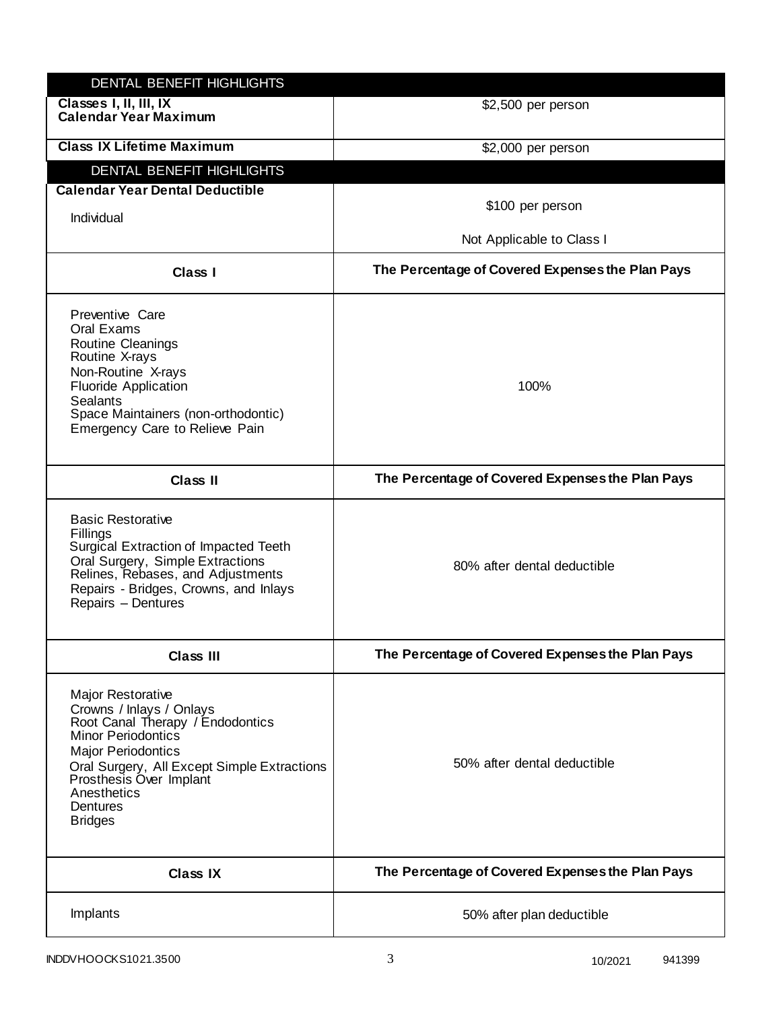| DENTAL BENEFIT HIGHLIGHTS                                                                                                                                                                                                                                          |                                                  |
|--------------------------------------------------------------------------------------------------------------------------------------------------------------------------------------------------------------------------------------------------------------------|--------------------------------------------------|
| Classes I, II, III, IX<br><b>Calendar Year Maximum</b>                                                                                                                                                                                                             | \$2,500 per person                               |
| <b>Class IX Lifetime Maximum</b>                                                                                                                                                                                                                                   | \$2,000 per person                               |
| <b>DENTAL BENEFIT HIGHLIGHTS</b>                                                                                                                                                                                                                                   |                                                  |
| <b>Calendar Year Dental Deductible</b>                                                                                                                                                                                                                             |                                                  |
| Individual                                                                                                                                                                                                                                                         | \$100 per person                                 |
|                                                                                                                                                                                                                                                                    | Not Applicable to Class I                        |
| <b>Class I</b>                                                                                                                                                                                                                                                     | The Percentage of Covered Expenses the Plan Pays |
| Preventive Care<br>Oral Exams<br><b>Routine Cleanings</b><br>Routine X-rays<br>Non-Routine X-rays<br><b>Fluoride Application</b><br><b>Sealants</b><br>Space Maintainers (non-orthodontic)<br>Emergency Care to Relieve Pain                                       | 100%                                             |
| <b>Class II</b>                                                                                                                                                                                                                                                    | The Percentage of Covered Expenses the Plan Pays |
| <b>Basic Restorative</b><br>Fillings<br>Surgical Extraction of Impacted Teeth<br>Oral Surgery, Simple Extractions<br>Relines, Rebases, and Adjustments<br>Repairs - Bridges, Crowns, and Inlays<br>Repairs - Dentures                                              | 80% after dental deductible                      |
| <b>Class III</b>                                                                                                                                                                                                                                                   | The Percentage of Covered Expenses the Plan Pays |
| <b>Major Restorative</b><br>Crowns / Inlays / Onlays<br>Root Canal Therapy / Endodontics<br>Minor Periodontics<br><b>Major Periodontics</b><br>Oral Surgery, All Except Simple Extractions<br>Prosthesis Over Implant<br>Anesthetics<br>Dentures<br><b>Bridges</b> | 50% after dental deductible                      |
| <b>Class IX</b>                                                                                                                                                                                                                                                    | The Percentage of Covered Expenses the Plan Pays |
| Implants                                                                                                                                                                                                                                                           | 50% after plan deductible                        |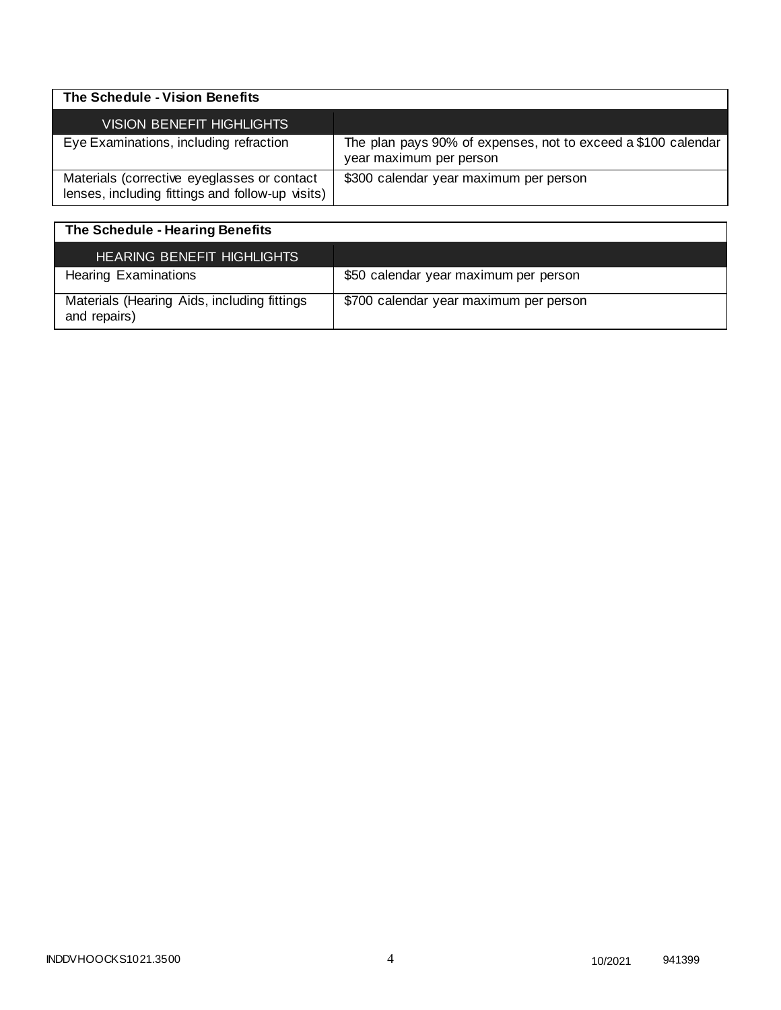| The Schedule - Vision Benefits                                                                  |                                                                                          |
|-------------------------------------------------------------------------------------------------|------------------------------------------------------------------------------------------|
| <b>VISION BENEFIT HIGHLIGHTS</b>                                                                |                                                                                          |
| Eye Examinations, including refraction                                                          | The plan pays 90% of expenses, not to exceed a \$100 calendar<br>year maximum per person |
| Materials (corrective eyeglasses or contact<br>lenses, including fittings and follow-up visits) | \$300 calendar year maximum per person                                                   |

| The Schedule - Hearing Benefits                             |                                        |
|-------------------------------------------------------------|----------------------------------------|
| <b>HEARING BENEFIT HIGHLIGHTS</b>                           |                                        |
| <b>Hearing Examinations</b>                                 | \$50 calendar year maximum per person  |
| Materials (Hearing Aids, including fittings<br>and repairs) | \$700 calendar year maximum per person |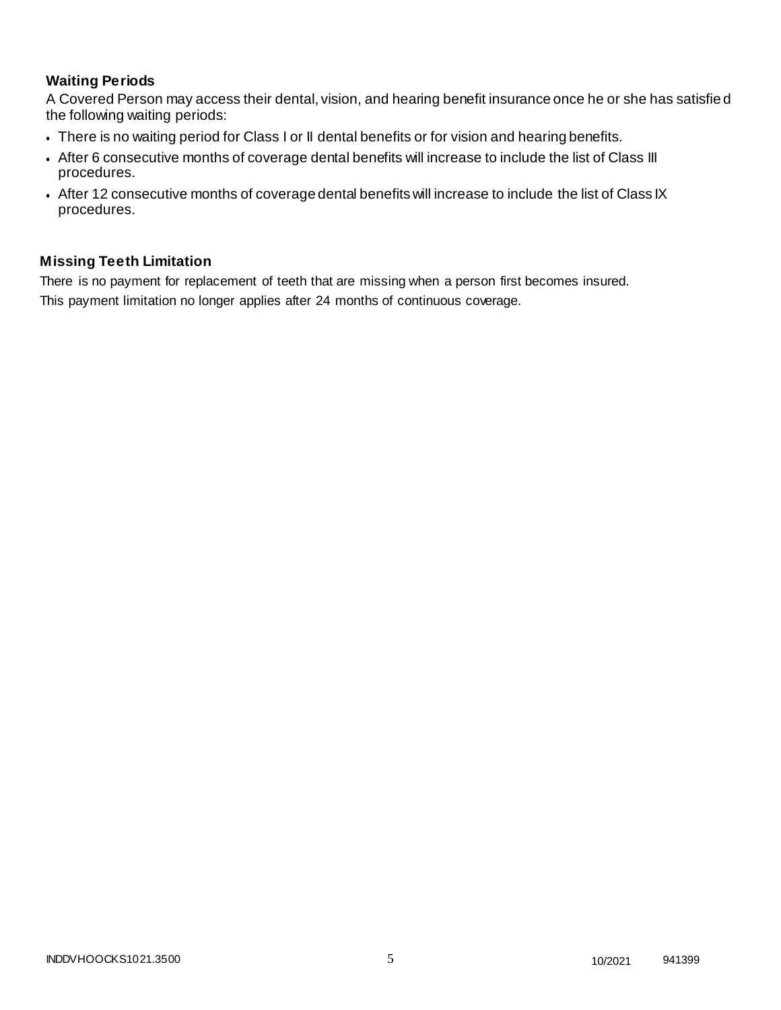# **Waiting Periods**

A Covered Person may access their dental, vision, and hearing benefit insurance once he or she has satisfie d the following waiting periods:

- There is no waiting period for Class I or II dental benefits or for vision and hearing benefits.
- After 6 consecutive months of coverage dental benefits will increase to include the list of Class III procedures.
- After 12 consecutive months of coverage dental benefits will increase to include the list of Class IX procedures.

## **Missing Teeth Limitation**

There is no payment for replacement of teeth that are missing when a person first becomes insured. This payment limitation no longer applies after 24 months of continuous coverage.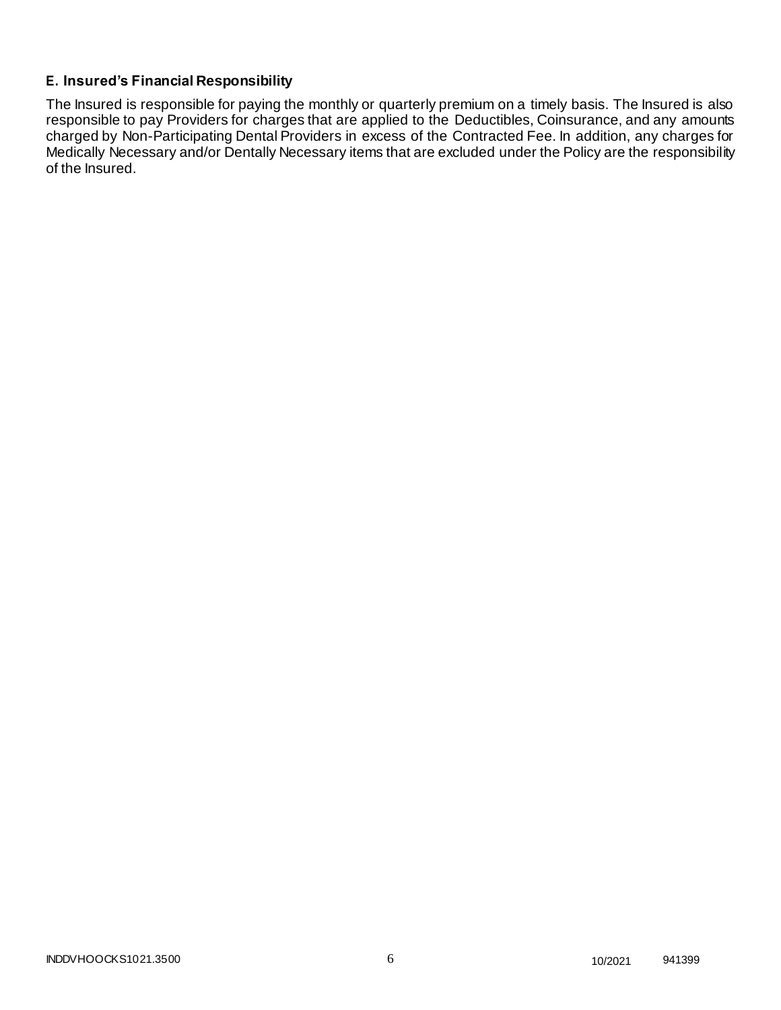# **E. Insured's Financial Responsibility**

The Insured is responsible for paying the monthly or quarterly premium on a timely basis. The Insured is also responsible to pay Providers for charges that are applied to the Deductibles, Coinsurance, and any amounts charged by Non-Participating Dental Providers in excess of the Contracted Fee. In addition, any charges for Medically Necessary and/or Dentally Necessary items that are excluded under the Policy are the responsibility of the Insured.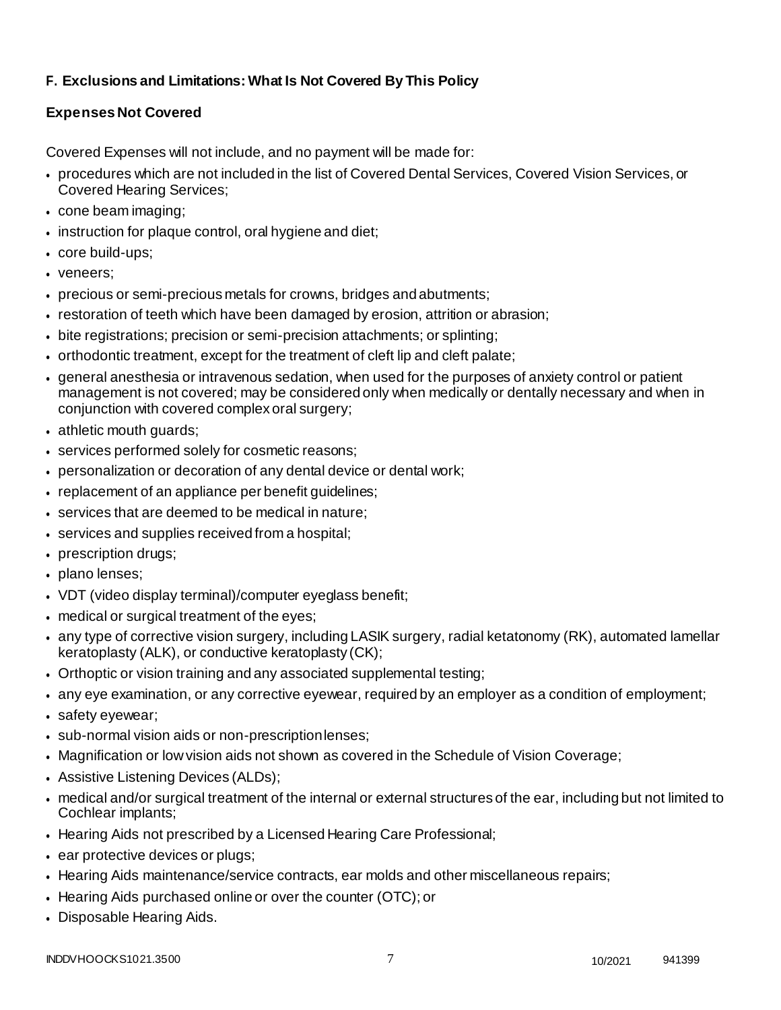# **F. Exclusions and Limitations: What Is Not Covered By This Policy**

# **Expenses Not Covered**

Covered Expenses will not include, and no payment will be made for:

- procedures which are not included in the list of Covered Dental Services, Covered Vision Services, or Covered Hearing Services;
- cone beam imaging;
- instruction for plaque control, oral hygiene and diet;
- core build-ups;
- veneers:
- precious or semi-precious metals for crowns, bridges andabutments;
- restoration of teeth which have been damaged by erosion, attrition or abrasion;
- bite registrations; precision or semi-precision attachments; or splinting;
- orthodontic treatment, except for the treatment of cleft lip and cleft palate;
- general anesthesia or intravenous sedation, when used for the purposes of anxiety control or patient management is not covered; may be considered only when medically or dentally necessary and when in conjunction with covered complex oral surgery;
- athletic mouth guards;
- services performed solely for cosmetic reasons;
- personalization or decoration of any dental device or dental work;
- replacement of an appliance per benefit guidelines;
- services that are deemed to be medical in nature;
- services and supplies received from a hospital;
- prescription drugs;
- plano lenses;
- VDT (video display terminal)/computer eyeglass benefit;
- medical or surgical treatment of the eyes;
- any type of corrective vision surgery, including LASIK surgery, radial ketatonomy (RK), automated lamellar keratoplasty (ALK), or conductive keratoplasty (CK);
- Orthoptic or vision training and any associated supplemental testing;
- any eye examination, or any corrective eyewear, required by an employer as a condition of employment;
- safety eyewear;
- sub-normal vision aids or non-prescriptionlenses;
- Magnification or low vision aids not shown as covered in the Schedule of Vision Coverage;
- Assistive Listening Devices (ALDs);
- medical and/or surgical treatment of the internal or external structures of the ear, including but not limited to Cochlear implants;
- Hearing Aids not prescribed by a Licensed Hearing Care Professional;
- ear protective devices or plugs;
- Hearing Aids maintenance/service contracts, ear molds and other miscellaneous repairs;
- Hearing Aids purchased online or over the counter (OTC); or
- Disposable Hearing Aids.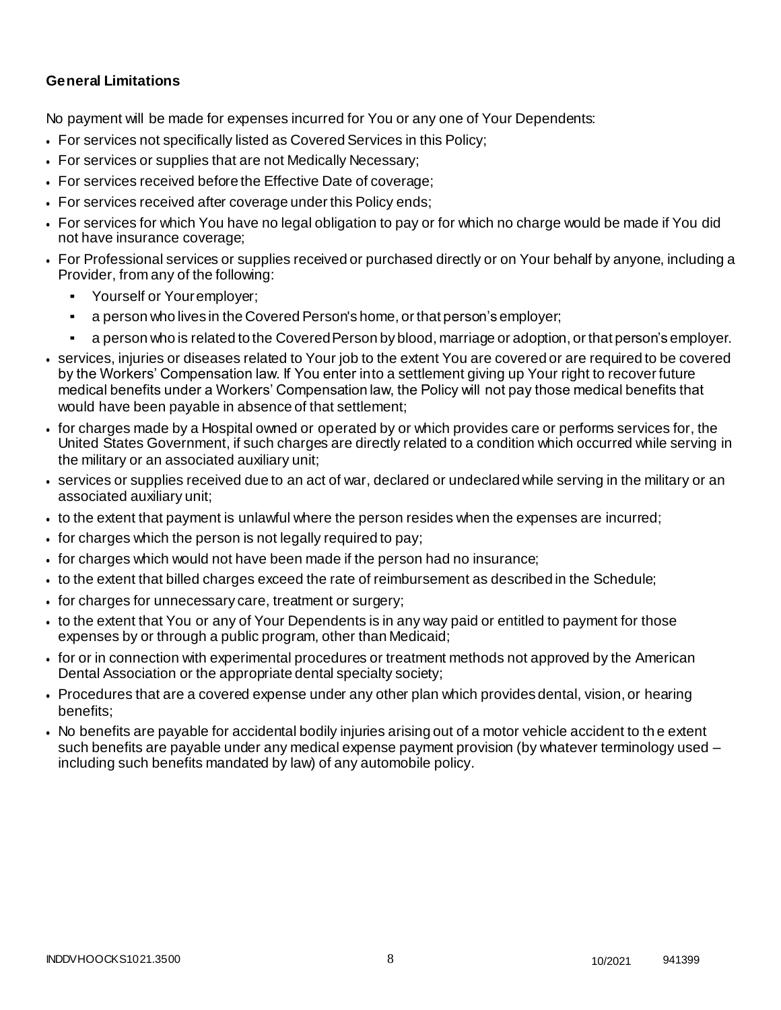# **General Limitations**

No payment will be made for expenses incurred for You or any one of Your Dependents:

- For services not specifically listed as Covered Services in this Policy;
- For services or supplies that are not Medically Necessary;
- For services received before the Effective Date of coverage;
- For services received after coverage under this Policy ends;
- For services for which You have no legal obligation to pay or for which no charge would be made if You did not have insurance coverage;
- For Professional services or supplies received or purchased directly or on Your behalf by anyone, including a Provider, from any of the following:
	- Yourself or Youremployer:
	- a person who lives in the Covered Person's home, or that person's employer;
	- a person who is related to the Covered Person by blood, marriage or adoption, or that person's employer.
- services, injuries or diseases related to Your job to the extent You are covered or are required to be covered by the Workers' Compensation law. If You enter into a settlement giving up Your right to recover future medical benefits under a Workers' Compensation law, the Policy will not pay those medical benefits that would have been payable in absence of that settlement;
- for charges made by a Hospital owned or operated by or which provides care or performs services for, the United States Government, if such charges are directly related to a condition which occurred while serving in the military or an associated auxiliary unit;
- services or supplies received due to an act of war, declared or undeclared while serving in the military or an associated auxiliary unit;
- to the extent that payment is unlawful where the person resides when the expenses are incurred;
- for charges which the person is not legally required to pay;
- for charges which would not have been made if the person had no insurance;
- to the extent that billed charges exceed the rate of reimbursement as described in the Schedule;
- for charges for unnecessary care, treatment or surgery;
- to the extent that You or any of Your Dependents is in any way paid or entitled to payment for those expenses by or through a public program, other than Medicaid;
- for or in connection with experimental procedures or treatment methods not approved by the American Dental Association or the appropriate dental specialty society;
- Procedures that are a covered expense under any other plan which provides dental, vision, or hearing benefits;
- No benefits are payable for accidental bodily injuries arising out of a motor vehicle accident to th e extent such benefits are payable under any medical expense payment provision (by whatever terminology used – including such benefits mandated by law) of any automobile policy.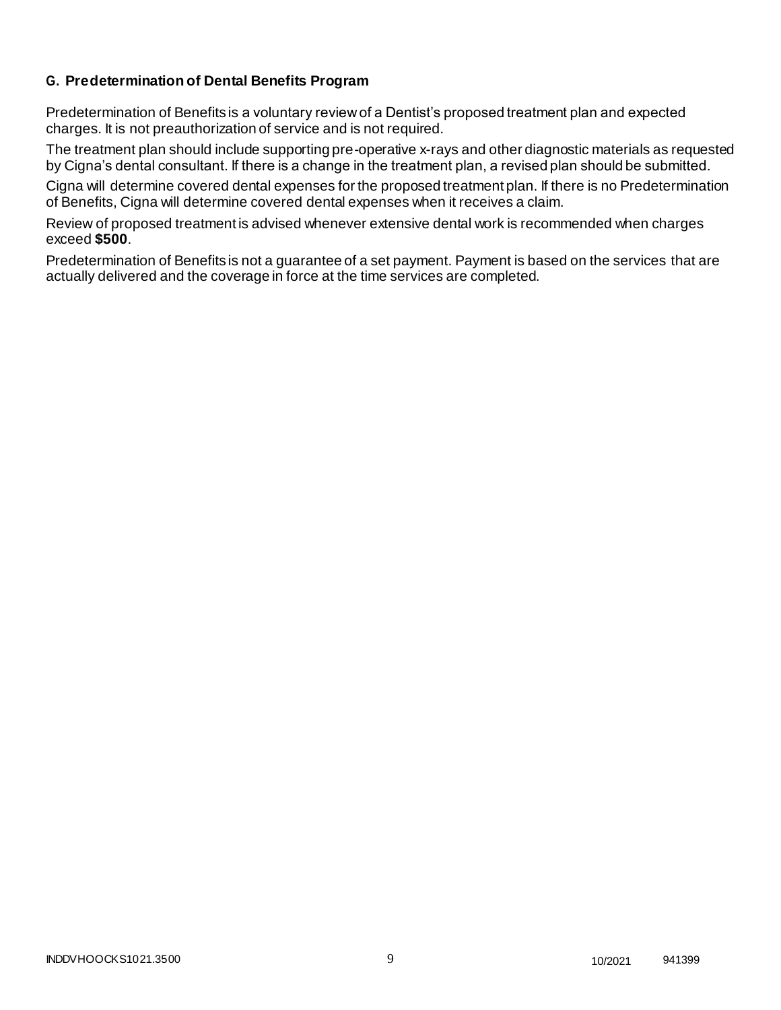# **G. Predetermination of Dental Benefits Program**

Predetermination of Benefits is a voluntary review of a Dentist's proposed treatment plan and expected charges. It is not preauthorization of service and is not required.

The treatment plan should include supporting pre-operative x-rays and other diagnostic materials as requested by Cigna's dental consultant. If there is a change in the treatment plan, a revised plan should be submitted.

Cigna will determine covered dental expenses for the proposed treatment plan. If there is no Predetermination of Benefits, Cigna will determine covered dental expenses when it receives a claim.

Review of proposed treatment is advised whenever extensive dental work is recommended when charges exceed **\$500**.

Predetermination of Benefits is not a guarantee of a set payment. Payment is based on the services that are actually delivered and the coverage in force at the time services are completed.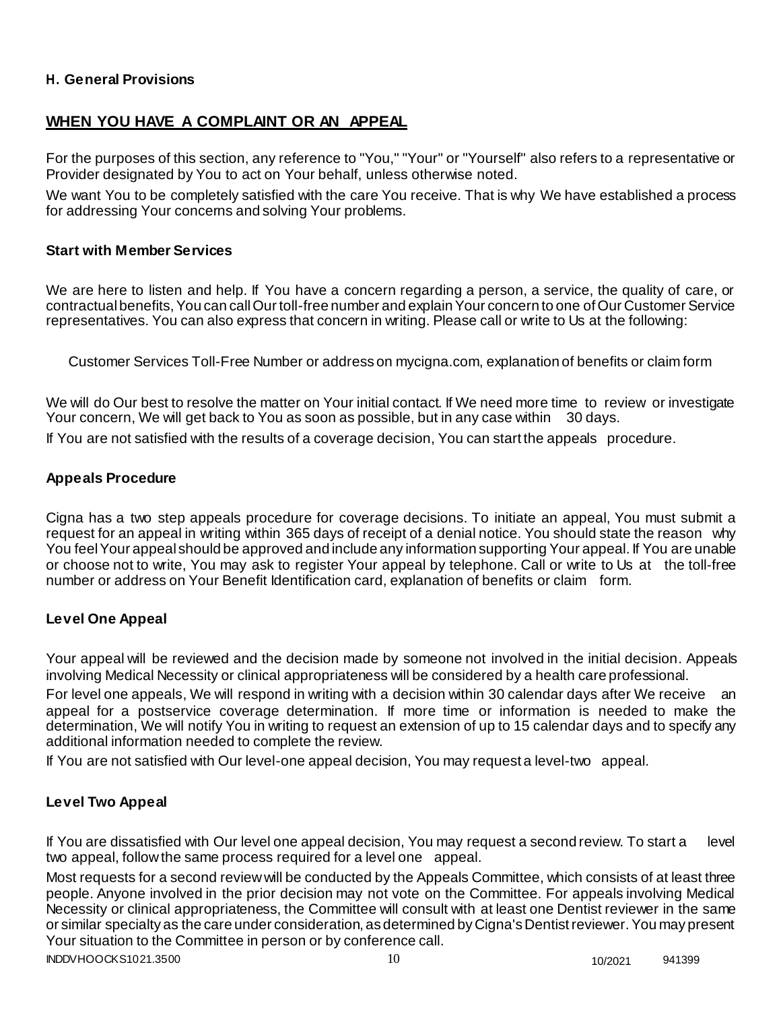## **H. General Provisions**

# **WHEN YOU HAVE A COMPLAINT OR AN APPEAL**

For the purposes of this section, any reference to "You," "Your" or "Yourself" also refers to a representative or Provider designated by You to act on Your behalf, unless otherwise noted.

We want You to be completely satisfied with the care You receive. That is why We have established a process for addressing Your concerns and solving Your problems.

#### **Start with Member Services**

We are here to listen and help. If You have a concern regarding a person, a service, the quality of care, or contractual benefits, You can call Our toll-free number and explain Your concern to one of Our Customer Service representatives. You can also express that concern in writing. Please call or write to Us at the following:

Customer Services Toll-Free Number or address on mycigna.com, explanation of benefits or claim form

We will do Our best to resolve the matter on Your initial contact. If We need more time to review or investigate Your concern, We will get back to You as soon as possible, but in any case within 30 days. If You are not satisfied with the results of a coverage decision, You can start the appeals procedure.

#### **Appeals Procedure**

Cigna has a two step appeals procedure for coverage decisions. To initiate an appeal, You must submit a request for an appeal in writing within 365 days of receipt of a denial notice. You should state the reason why You feel Your appeal should be approved and include any information supporting Your appeal. If You are unable or choose not to write, You may ask to register Your appeal by telephone. Call or write to Us at the toll-free number or address on Your Benefit Identification card, explanation of benefits or claim form.

## **Level One Appeal**

Your appeal will be reviewed and the decision made by someone not involved in the initial decision. Appeals involving Medical Necessity or clinical appropriateness will be considered by a health care professional.

For level one appeals, We will respond in writing with a decision within 30 calendar days after We receive an appeal for a postservice coverage determination. If more time or information is needed to make the determination, We will notify You in writing to request an extension of up to 15 calendar days and to specify any additional information needed to complete the review.

If You are not satisfied with Our level-one appeal decision, You may request a level-two appeal.

## **Level Two Appeal**

If You are dissatisfied with Our level one appeal decision, You may request a second review. To start a level two appeal, follow the same process required for a level one appeal.

Most requests for a second review will be conducted by the Appeals Committee, which consists of at least three people. Anyone involved in the prior decision may not vote on the Committee. For appeals involving Medical Necessity or clinical appropriateness, the Committee will consult with at least one Dentist reviewer in the same or similar specialty as the care under consideration, as determined by Cigna's Dentist reviewer. You may present Your situation to the Committee in person or by conference call.

INDDVHOOCKS1021.3500 10 10/2021 941399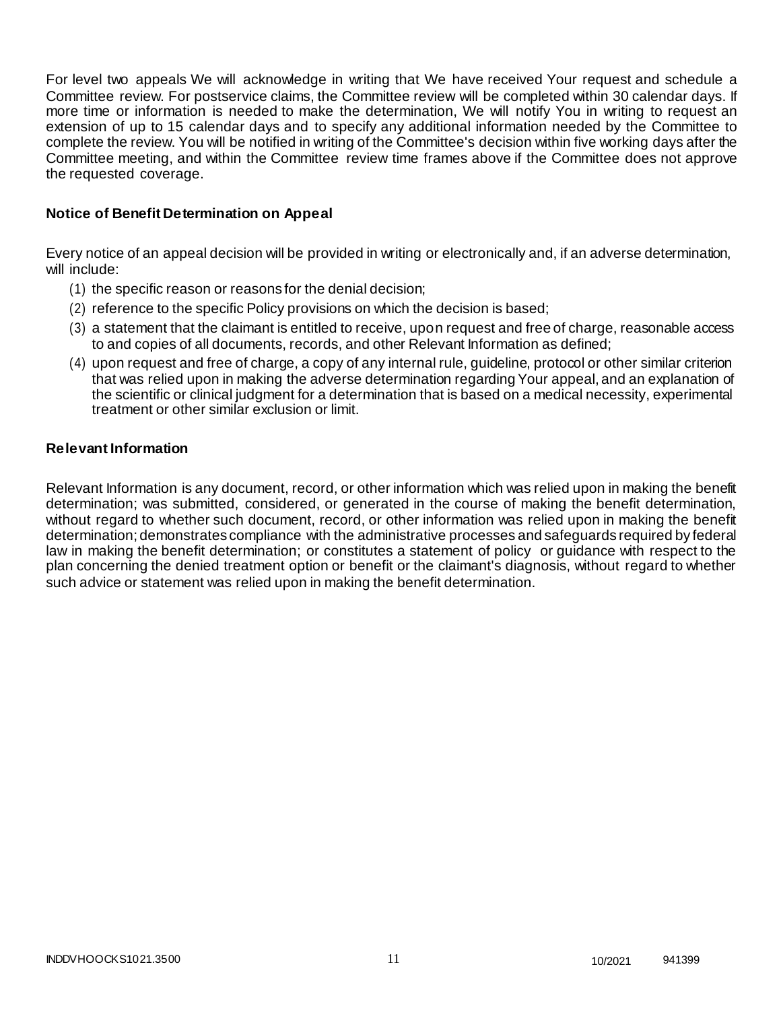For level two appeals We will acknowledge in writing that We have received Your request and schedule a Committee review. For postservice claims, the Committee review will be completed within 30 calendar days. If more time or information is needed to make the determination, We will notify You in writing to request an extension of up to 15 calendar days and to specify any additional information needed by the Committee to complete the review. You will be notified in writing of the Committee's decision within five working days after the Committee meeting, and within the Committee review time frames above if the Committee does not approve the requested coverage.

## **Notice of Benefit Determination on Appeal**

Every notice of an appeal decision will be provided in writing or electronically and, if an adverse determination, will include:

- (1) the specific reason or reasons for the denial decision;
- (2) reference to the specific Policy provisions on which the decision is based;
- (3) a statement that the claimant is entitled to receive, upon request and free of charge, reasonable access to and copies of all documents, records, and other Relevant Information as defined;
- (4) upon request and free of charge, a copy of any internal rule, guideline, protocol or other similar criterion that was relied upon in making the adverse determination regarding Your appeal, and an explanation of the scientific or clinical judgment for a determination that is based on a medical necessity, experimental treatment or other similar exclusion or limit.

## **Relevant Information**

Relevant Information is any document, record, or other information which was relied upon in making the benefit determination; was submitted, considered, or generated in the course of making the benefit determination, without regard to whether such document, record, or other information was relied upon in making the benefit determination; demonstrates compliance with the administrative processes and safeguards required by federal law in making the benefit determination; or constitutes a statement of policy or guidance with respect to the plan concerning the denied treatment option or benefit or the claimant's diagnosis, without regard to whether such advice or statement was relied upon in making the benefit determination.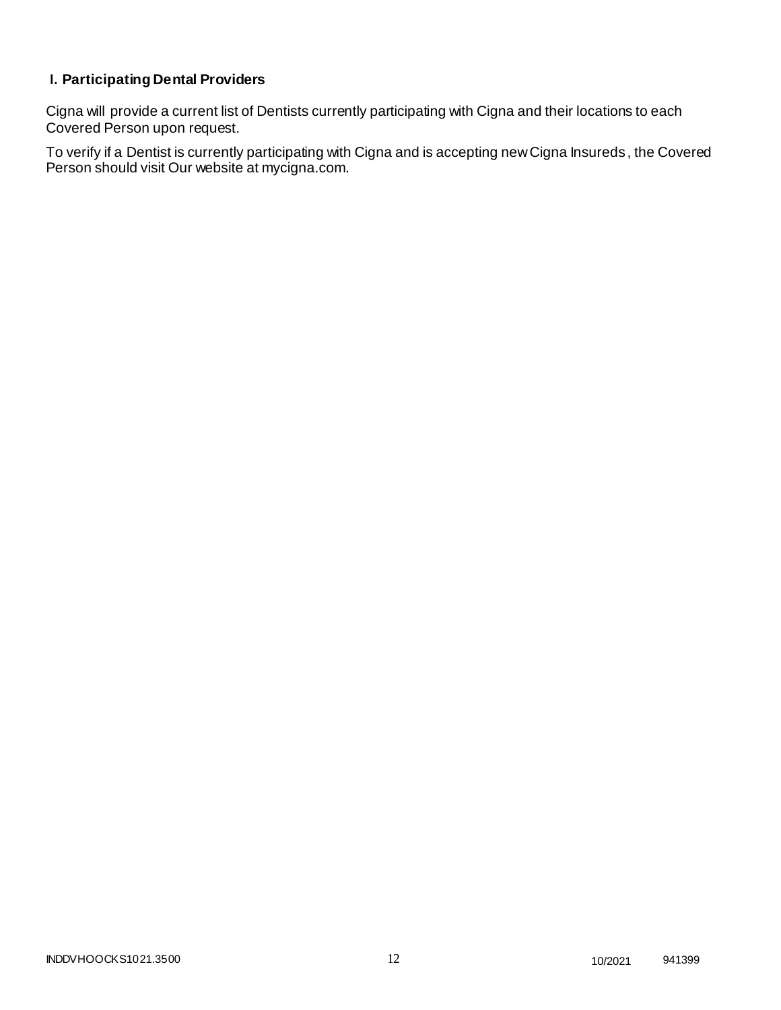# **I. Participating Dental Providers**

Cigna will provide a current list of Dentists currently participating with Cigna and their locations to each Covered Person upon request.

To verify if a Dentist is currently participating with Cigna and is accepting new Cigna Insureds , the Covered Person should visit Our website at mycigna.com.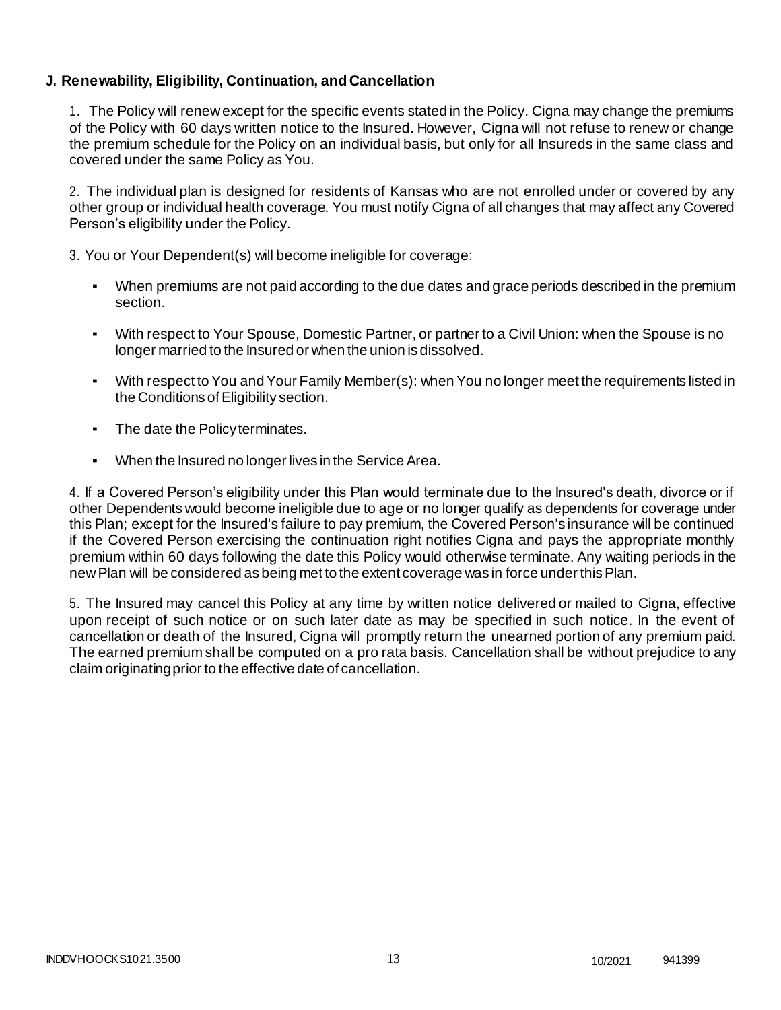# **J. Renewability, Eligibility, Continuation, and Cancellation**

1. The Policy will renew except for the specific events stated in the Policy. Cigna may change the premiums of the Policy with 60 days written notice to the Insured. However, Cigna will not refuse to renew or change the premium schedule for the Policy on an individual basis, but only for all Insureds in the same class and covered under the same Policy as You.

2. The individual plan is designed for residents of Kansas who are not enrolled under or covered by any other group or individual health coverage. You must notify Cigna of all changes that may affect any Covered Person's eligibility under the Policy.

3. You or Your Dependent(s) will become ineligible for coverage:

- When premiums are not paid according to the due dates and grace periods described in the premium section.
- With respect to Your Spouse, Domestic Partner, or partner to a Civil Union: when the Spouse is no longer married to the Insured or when the union is dissolved.
- With respect to You and Your Family Member(s): when You no longer meet the requirements listed in the Conditions of Eligibility section.
- The date the Policy terminates.
- When the Insured no longer lives in the Service Area.

4. If a Covered Person's eligibility under this Plan would terminate due to the Insured's death, divorce or if other Dependents would become ineligible due to age or no longer qualify as dependents for coverage under this Plan; except for the Insured's failure to pay premium, the Covered Person's insurance will be continued if the Covered Person exercising the continuation right notifies Cigna and pays the appropriate monthly premium within 60 days following the date this Policy would otherwise terminate. Any waiting periods in the newPlan will be considered as being met to the extent coverage was in force under thisPlan.

5. The Insured may cancel this Policy at any time by written notice delivered or mailed to Cigna, effective upon receipt of such notice or on such later date as may be specified in such notice. In the event of cancellation or death of the Insured, Cigna will promptly return the unearned portion of any premium paid. The earned premium shall be computed on a pro rata basis. Cancellation shall be without prejudice to any claim originatingprior to the effective date of cancellation.